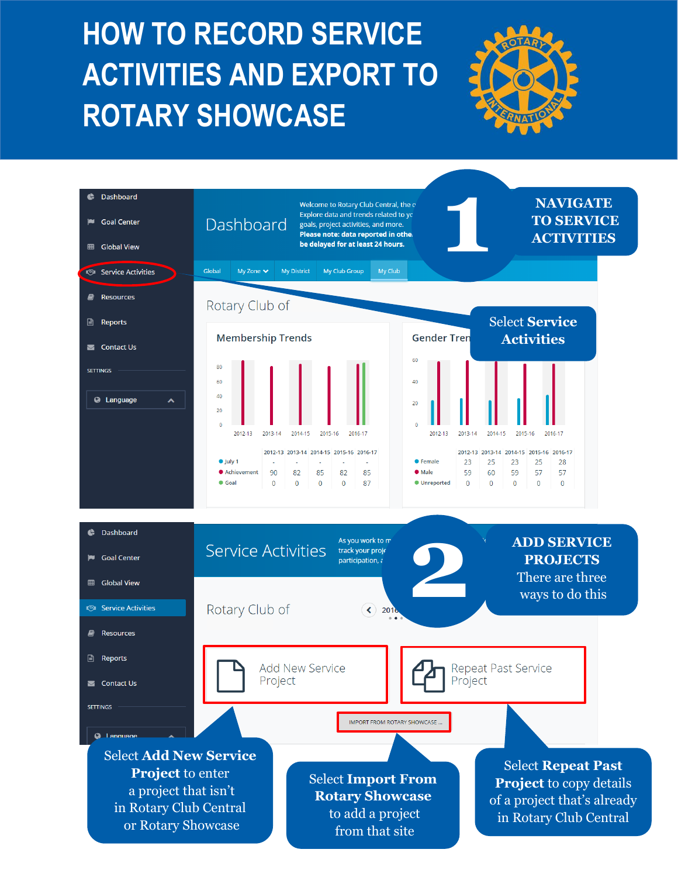## **HOW TO RECORD HOW TO RECORD SERVICE SERVICE AND EXPORT ACTIVITIES AND EXPORT TO TO ROTARY SHOWCASE ROTARY SHOWCASE**



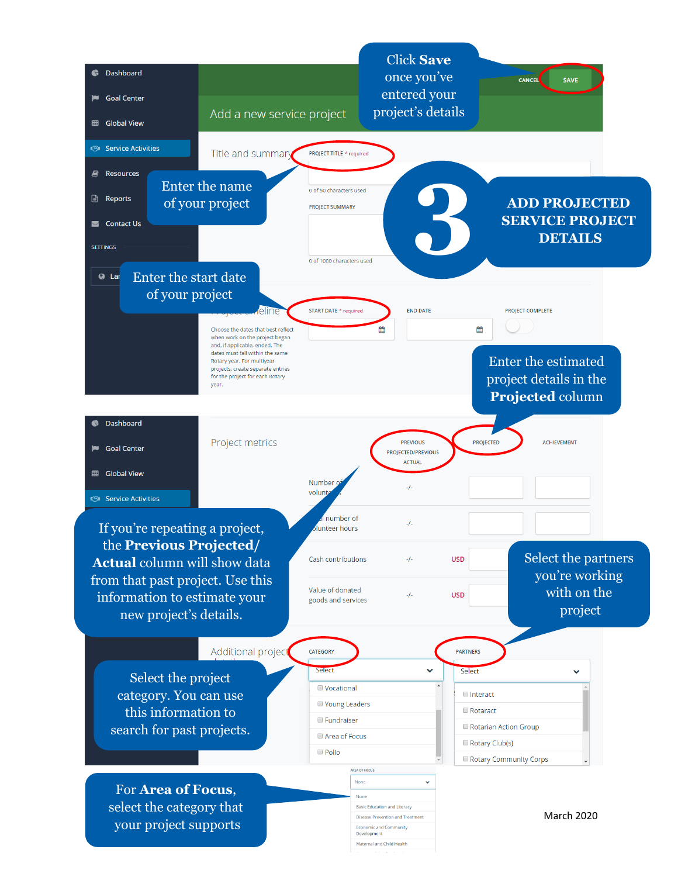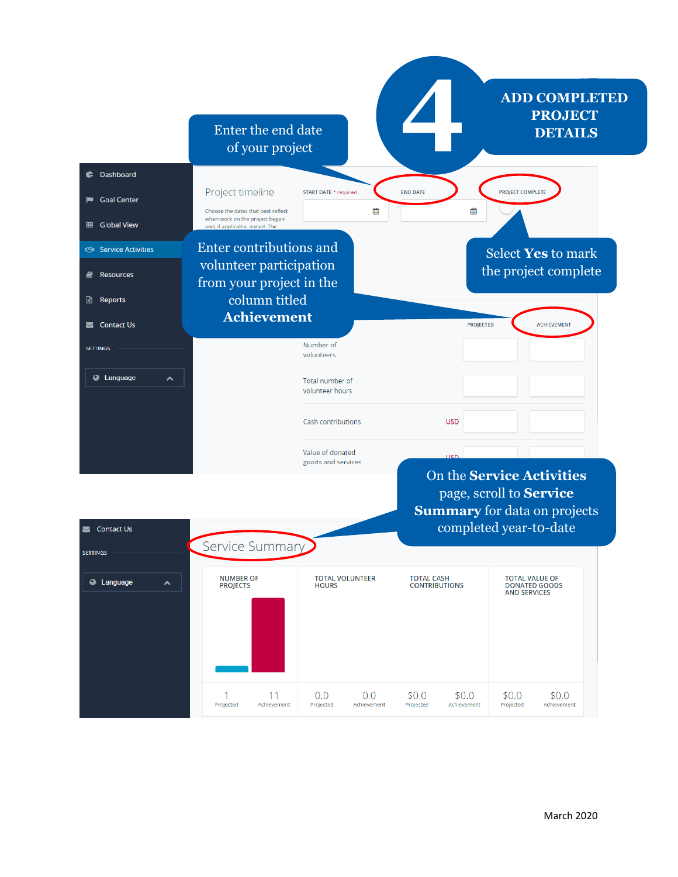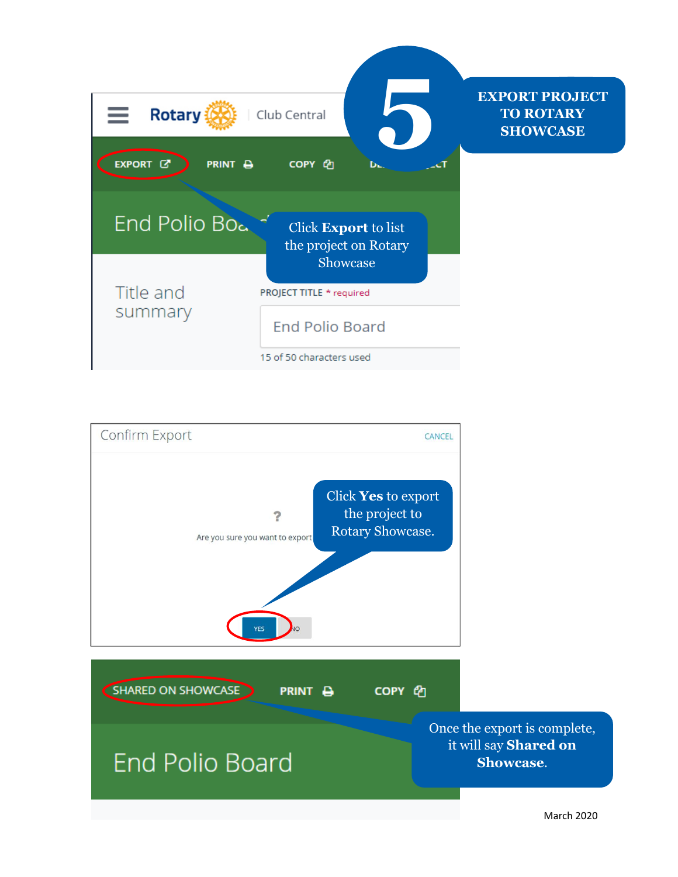



March 2020